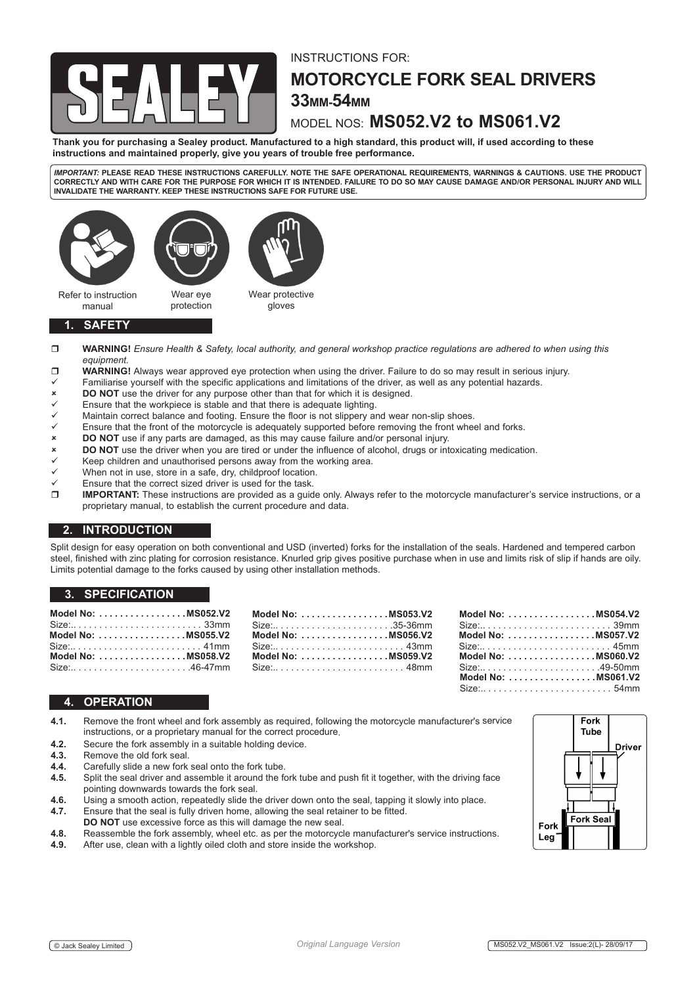

# INSTRUCTIONS FOR: **MOTORCYCLE FORK SEAL DRIVERS 33MM-54MM**

# MODEL NOS: **MS052.V2 to MS061.V2**

**Thank you for purchasing a Sealey product. Manufactured to a high standard, this product will, if used according to these instructions and maintained properly, give you years of trouble free performance.**

*IMPORTANT:* **PLEASE READ THESE INSTRUCTIONS CAREFULLY. NOTE THE SAFE OPERATIONAL REQUIREMENTS, WARNINGS & CAUTIONS. USE THE PRODUCT CORRECTLY AND WITH CARE FOR THE PURPOSE FOR WHICH IT IS INTENDED. FAILURE TO DO SO MAY CAUSE DAMAGE AND/OR PERSONAL INJURY AND WILL INVALIDATE THE WARRANTY. KEEP THESE INSTRUCTIONS SAFE FOR FUTURE USE.**



### **1. SAFETY**

- **WARNING!** *Ensure Health & Safety, local authority, and general workshop practice regulations are adhered to when using this equipment.*
- **WARNING!** Always wear approved eye protection when using the driver. Failure to do so may result in serious injury.
- Familiarise yourself with the specific applications and limitations of the driver, as well as any potential hazards.<br> **DO NOT** use the driver for any purpose other than that for which it is designed.
- **DO NOT** use the driver for any purpose other than that for which it is designed.
- $\checkmark$  Ensure that the workpiece is stable and that there is adequate lighting.<br> $\checkmark$  Maintain correct balance and footing. Ensure the floor is not slinnery and
- $\checkmark$  Maintain correct balance and footing. Ensure the floor is not slippery and wear non-slip shoes.<br> $\checkmark$  Ensure that the front of the motorcycle is adequately supported before removing the front where
- Ensure that the front of the motorcycle is adequately supported before removing the front wheel and forks.
- **DO NOT** use if any parts are damaged, as this may cause failure and/or personal injury.
- **DO** NOT use the driver when you are tired or under the influence of alcohol, drugs or intoxicating medication.
- $\times$  Keep children and unauthorised persons away from the working area.<br>
When not in use, store in a safe, dry childproof location
- When not in use, store in a safe, dry, childproof location.
- Ensure that the correct sized driver is used for the task.<br>  $\Box$  **IMPORTANT:** These instructions are provided as a quid
- **IMPORTANT:** These instructions are provided as a guide only. Always refer to the motorcycle manufacturer's service instructions, or a proprietary manual, to establish the current procedure and data.

## **2. INTRODUCTION**

Split design for easy operation on both conventional and USD (inverted) forks for the installation of the seals. Hardened and tempered carbon steel, finished with zinc plating for corrosion resistance. Knurled grip gives positive purchase when in use and limits risk of slip if hands are oily. Limits potential damage to the forks caused by using other installation methods.

> **MS053 V2**  $\ldots$  .35-36mm

**Model No: . MS056.V2** Size:. . . 43mm

**Model No: . MS059.V2** . . . . . . . 48mm

## **3. SPECIFICATION**

| Model No: $\dots$ , $\dots$ , $\dots$ , $\dots$ , $\dots$ , $\dots$ MS052.V2 Model No: $\dots$ , $\dots$ , $\dots$<br>Model No: MS055.V2 Model No: |  |
|----------------------------------------------------------------------------------------------------------------------------------------------------|--|
| Model No: MS058.V2 Model No:                                                                                                                       |  |

|  | Model No: MS054.V2                                              |  |
|--|-----------------------------------------------------------------|--|
|  | $Size: \ldots \ldots \ldots \ldots \ldots \ldots \ldots \ldots$ |  |
|  | Model No: MS057.V2                                              |  |
|  |                                                                 |  |
|  | Model No: MS060.V2                                              |  |
|  | Size:49-50mm                                                    |  |
|  | Model No: MS061.V2                                              |  |
|  |                                                                 |  |

## **4. OPERATION**

- **4.1.** Remove the front wheel and fork assembly as required, following the motorcycle manufacturer's service instructions, or a proprietary manual for the correct procedure.
- **4.2.** Secure the fork assembly in a suitable holding device.
- **4.3.** Remove the old fork seal.
- **4.4.** Carefully slide a new fork seal onto the fork tube.<br>**4.5.** Solit the seal driver and assemble it around the form
- **4.5.** Split the seal driver and assemble it around the fork tube and push fit it together, with the driving face pointing downwards towards the fork seal.
- **4.6.** Using a smooth action, repeatedly slide the driver down onto the seal, tapping it slowly into place.<br>**4.7.** Ensure that the seal is fully driven home, allowing the seal retainer to be fitted.
- **4.7.** Ensure that the seal is fully driven home, allowing the seal retainer to be fitted.
- **DO NOT** use excessive force as this will damage the new seal.
- **4.8.** Reassemble the fork assembly, wheel etc. as per the motorcycle manufacturer's service instructions.<br>**4.9.** After use, clean with a lightly oiled cloth and store inside the workshop.
- After use, clean with a lightly oiled cloth and store inside the workshop.